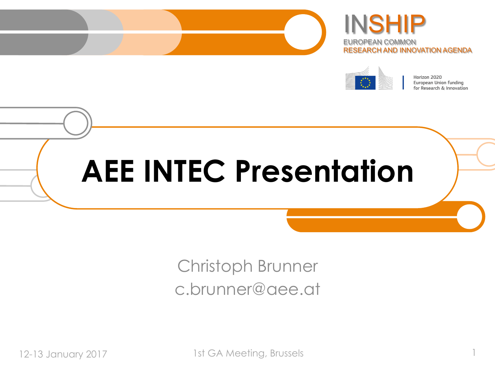





Horizon 2020 European Union funding for Research & Innovation

# **AEE INTEC Presentation**

### Christoph Brunner c.brunner@aee.at

12-13 January 2017 1st GA Meeting, Brussels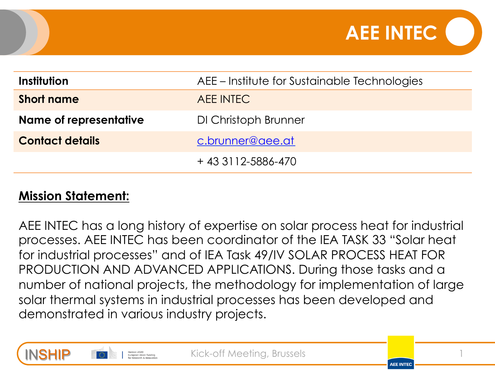

| Institution            | AEE – Institute for Sustainable Technologies |
|------------------------|----------------------------------------------|
| <b>Short name</b>      | AEE INTEC                                    |
| Name of representative | DI Christoph Brunner                         |
| <b>Contact details</b> | c.brunner@aee.at                             |
|                        | +43 3112-5886-470                            |

#### **Mission Statement:**

AEE INTEC has a long history of expertise on solar process heat for industrial processes. AEE INTEC has been coordinator of the IEA TASK 33 "Solar heat for industrial processes" and of IEA Task 49/IV SOLAR PROCESS HEAT FOR PRODUCTION AND ADVANCED APPLICATIONS. During those tasks and a number of national projects, the methodology for implementation of large solar thermal systems in industrial processes has been developed and demonstrated in various industry projects.



Kick-off Meeting, Brussels

**AFF INTEC**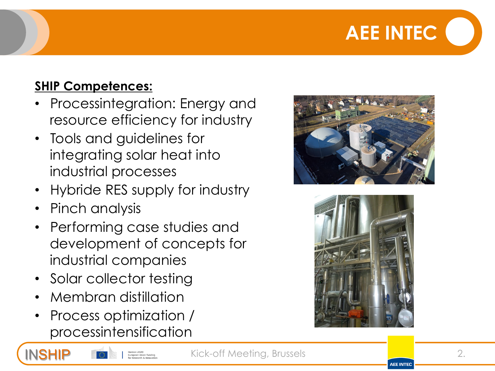## **AEE INTEC**

### **SHIP Competences:**

- Processintegration: Energy and resource efficiency for industry
- Tools and guidelines for integrating solar heat into industrial processes
- Hybride RES supply for industry
- Pinch analysis
- Performing case studies and development of concepts for industrial companies
- Solar collector testing
- Membran distillation
- Process optimization / processintensification





**AFF INTEC** 

Kick-off Meeting, Brussels **2. 2. 2.**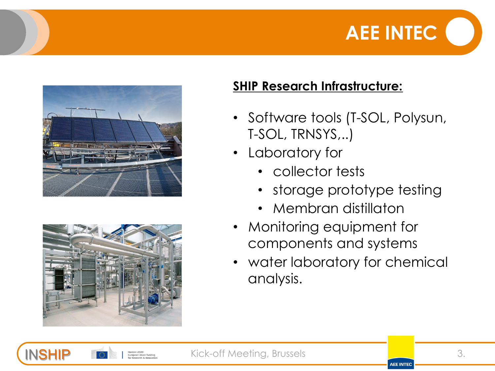





#### **SHIP Research Infrastructure:**

- Software tools (T-SOL, Polysun, T-SOL, TRNSYS,..)
- Laboratory for
	- collector tests
	- storage prototype testing
	- Membran distillaton
- Monitoring equipment for components and systems
- water laboratory for chemical analysis.